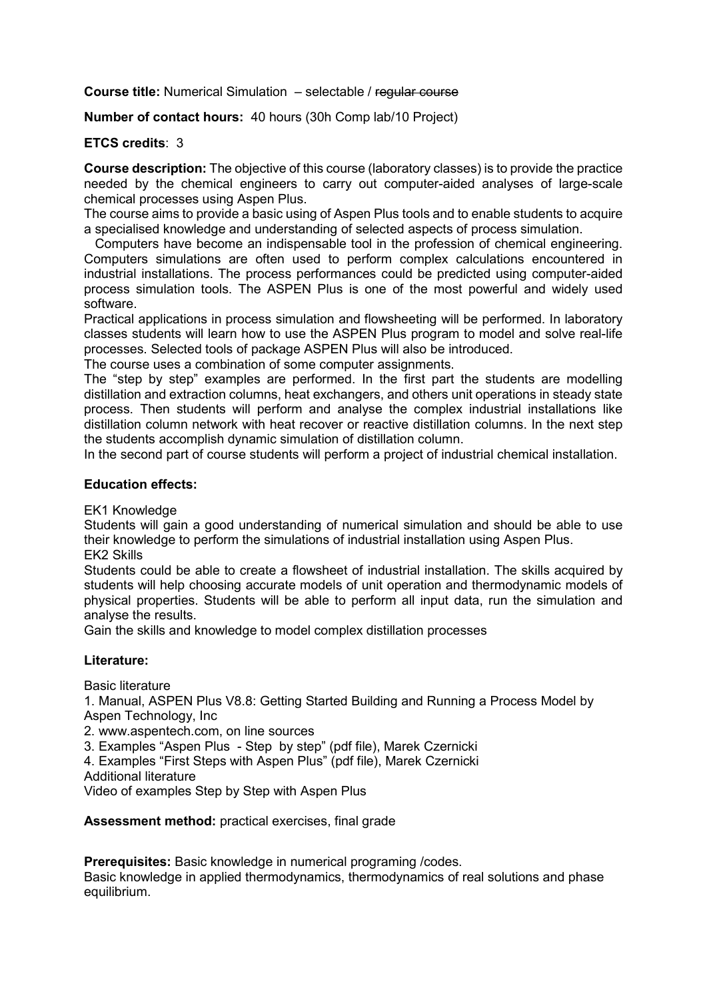Course title: Numerical Simulation – selectable / regular course

Number of contact hours: 40 hours (30h Comp lab/10 Project)

## ETCS credits: 3

Course description: The objective of this course (laboratory classes) is to provide the practice needed by the chemical engineers to carry out computer-aided analyses of large-scale chemical processes using Aspen Plus.

The course aims to provide a basic using of Aspen Plus tools and to enable students to acquire a specialised knowledge and understanding of selected aspects of process simulation.

 Computers have become an indispensable tool in the profession of chemical engineering. Computers simulations are often used to perform complex calculations encountered in industrial installations. The process performances could be predicted using computer-aided process simulation tools. The ASPEN Plus is one of the most powerful and widely used software.

Practical applications in process simulation and flowsheeting will be performed. In laboratory classes students will learn how to use the ASPEN Plus program to model and solve real-life processes. Selected tools of package ASPEN Plus will also be introduced.

The course uses a combination of some computer assignments.

The "step by step" examples are performed. In the first part the students are modelling distillation and extraction columns, heat exchangers, and others unit operations in steady state process. Then students will perform and analyse the complex industrial installations like distillation column network with heat recover or reactive distillation columns. In the next step the students accomplish dynamic simulation of distillation column.

In the second part of course students will perform a project of industrial chemical installation.

## Education effects:

EK1 Knowledge

Students will gain a good understanding of numerical simulation and should be able to use their knowledge to perform the simulations of industrial installation using Aspen Plus. EK2 Skills

Students could be able to create a flowsheet of industrial installation. The skills acquired by students will help choosing accurate models of unit operation and thermodynamic models of physical properties. Students will be able to perform all input data, run the simulation and analyse the results.

Gain the skills and knowledge to model complex distillation processes

## Literature:

Basic literature

1. Manual, ASPEN Plus V8.8: Getting Started Building and Running a Process Model by Aspen Technology, Inc

2. www.aspentech.com, on line sources

3. Examples "Aspen Plus - Step by step" (pdf file), Marek Czernicki

4. Examples "First Steps with Aspen Plus" (pdf file), Marek Czernicki

Additional literature

Video of examples Step by Step with Aspen Plus

Assessment method: practical exercises, final grade

Prerequisites: Basic knowledge in numerical programing /codes.

Basic knowledge in applied thermodynamics, thermodynamics of real solutions and phase equilibrium.